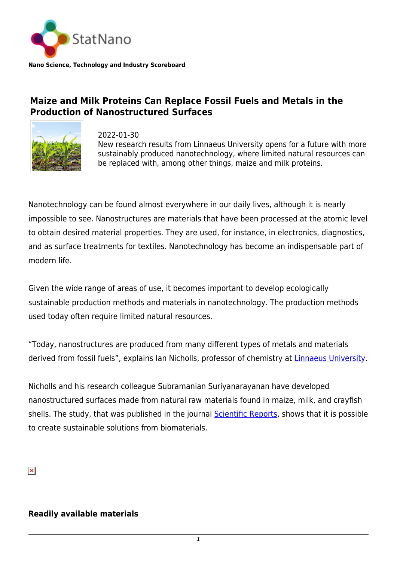

## **Maize and Milk Proteins Can Replace Fossil Fuels and Metals in the Production of Nanostructured Surfaces**



2022-01-30 New research results from Linnaeus University opens for a future with more sustainably produced nanotechnology, where limited natural resources can be replaced with, among other things, maize and milk proteins.

Nanotechnology can be found almost everywhere in our daily lives, although it is nearly impossible to see. Nanostructures are materials that have been processed at the atomic level to obtain desired material properties. They are used, for instance, in electronics, diagnostics, and as surface treatments for textiles. Nanotechnology has become an indispensable part of modern life.

Given the wide range of areas of use, it becomes important to develop ecologically sustainable production methods and materials in nanotechnology. The production methods used today often require limited natural resources.

"Today, nanostructures are produced from many different types of metals and materials derived from fossil fuels", explains Ian Nicholls, professor of chemistry at [Linnaeus University.](https://lnu.se/)

Nicholls and his research colleague Subramanian Suriyanarayanan have developed nanostructured surfaces made from natural raw materials found in maize, milk, and crayfish shells. The study, that was published in the journal [Scientific Reports](https://www.nature.com/articles/s41598-021-04001-4), shows that it is possible to create sustainable solutions from biomaterials.

 $\pmb{\times}$ 

## **Readily available materials**